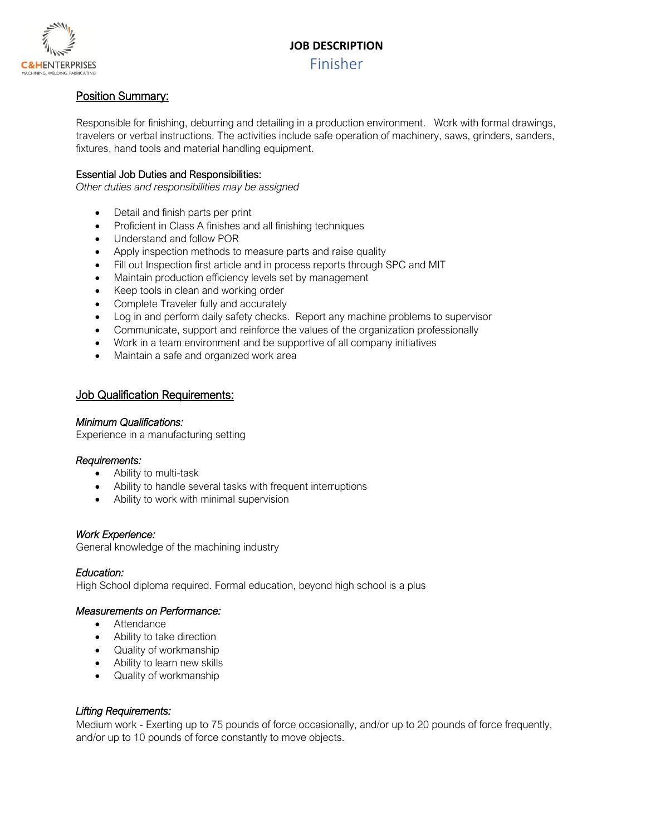## **JOB DESCRIPTION**



## Finisher

## Position Summary:

Responsible for finishing, deburring and detailing in a production environment. Work with formal drawings, travelers or verbal instructions. The activities include safe operation of machinery, saws, grinders, sanders, fixtures, hand tools and material handling equipment.

#### Essential Job Duties and Responsibilities:

*Other duties and responsibilities may be assigned*

- Detail and finish parts per print
- Proficient in Class A finishes and all finishing techniques
- Understand and follow POR
- Apply inspection methods to measure parts and raise quality
- Fill out Inspection first article and in process reports through SPC and MIT
- Maintain production efficiency levels set by management
- Keep tools in clean and working order
- Complete Traveler fully and accurately
- Log in and perform daily safety checks. Report any machine problems to supervisor
- Communicate, support and reinforce the values of the organization professionally
- Work in a team environment and be supportive of all company initiatives
- Maintain a safe and organized work area

#### Job Qualification Requirements:

#### *Minimum Qualifications:*

Experience in a manufacturing setting

#### *Requirements:*

- Ability to multi-task
- Ability to handle several tasks with frequent interruptions
- Ability to work with minimal supervision

#### *Work Experience:*

General knowledge of the machining industry

#### *Education:*

High School diploma required. Formal education, beyond high school is a plus

#### *Measurements on Performance:*

- Attendance
- Ability to take direction
- Quality of workmanship
- Ability to learn new skills
- Quality of workmanship

## *Lifting Requirements:*

Medium work - Exerting up to 75 pounds of force occasionally, and/or up to 20 pounds of force frequently, and/or up to 10 pounds of force constantly to move objects.